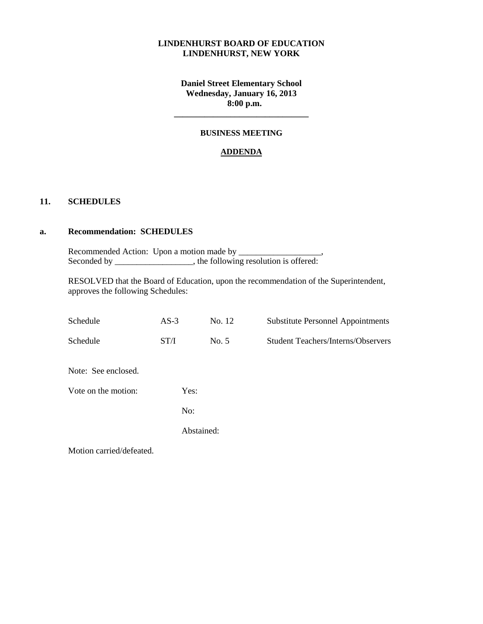### **LINDENHURST BOARD OF EDUCATION LINDENHURST, NEW YORK**

**Daniel Street Elementary School Wednesday, January 16, 2013 8:00 p.m.**

#### **BUSINESS MEETING**

**\_\_\_\_\_\_\_\_\_\_\_\_\_\_\_\_\_\_\_\_\_\_\_\_\_\_\_\_\_\_\_**

### **ADDENDA**

### **11. SCHEDULES**

#### **a. Recommendation: SCHEDULES**

Recommended Action: Upon a motion made by \_\_\_\_\_\_\_\_\_\_\_\_\_\_\_\_\_\_\_, Seconded by \_\_\_\_\_\_\_\_\_\_\_\_\_\_, the following resolution is offered:

RESOLVED that the Board of Education, upon the recommendation of the Superintendent, approves the following Schedules:

| Schedule                 | $AS-3$     | No. 12 | <b>Substitute Personnel Appointments</b>  |
|--------------------------|------------|--------|-------------------------------------------|
| Schedule                 | ST/I       | No. 5  | <b>Student Teachers/Interns/Observers</b> |
| Note: See enclosed.      |            |        |                                           |
| Vote on the motion:      | Yes:       |        |                                           |
|                          | No:        |        |                                           |
|                          | Abstained: |        |                                           |
| Motion carried/defeated. |            |        |                                           |